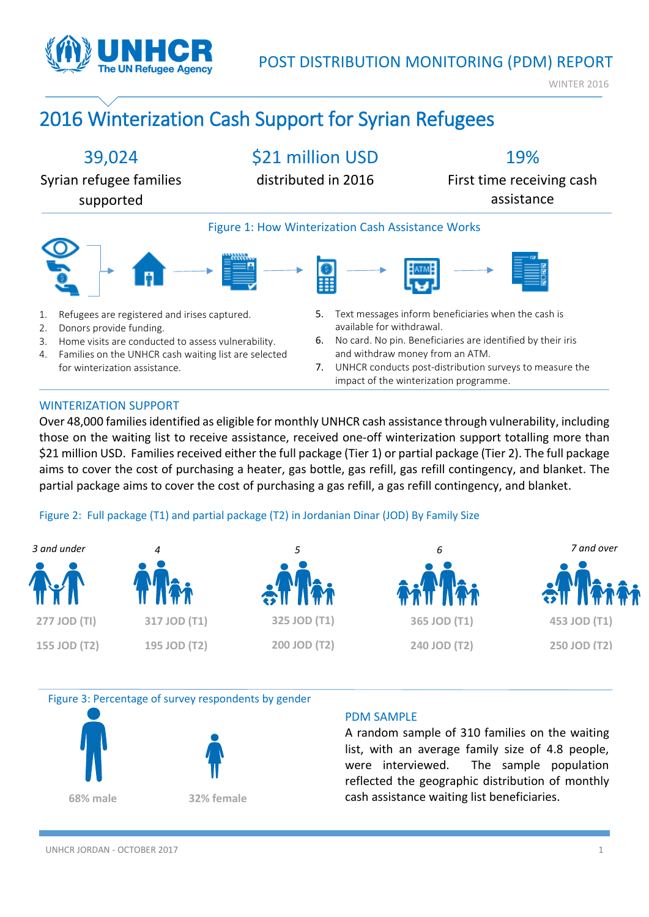

WINTER 2016

# 2016 Winterization Cash Support for Syrian Refugees



### WINTERIZATION SUPPORT

Over 48,000 families identified as eligible for monthly UNHCR cash assistance through vulnerability, including those on the waiting list to receive assistance, received one-off winterization support totalling more than \$21 million USD. Families received either the full package (Tier 1) or partial package (Tier 2). The full package aims to cover the cost of purchasing a heater, gas bottle, gas refill, gas refill contingency, and blanket. The partial package aims to cover the cost of purchasing a gas refill, a gas refill contingency, and blanket.

### Figure 2: Full package (T1) and partial package (T2) in Jordanian Dinar (JOD) By Family Size







### PDM SAMPLE

A random sample of 310 families on the waiting list, with an average family size of 4.8 people, were interviewed. The sample population reflected the geographic distribution of monthly cash assistance waiting list beneficiaries.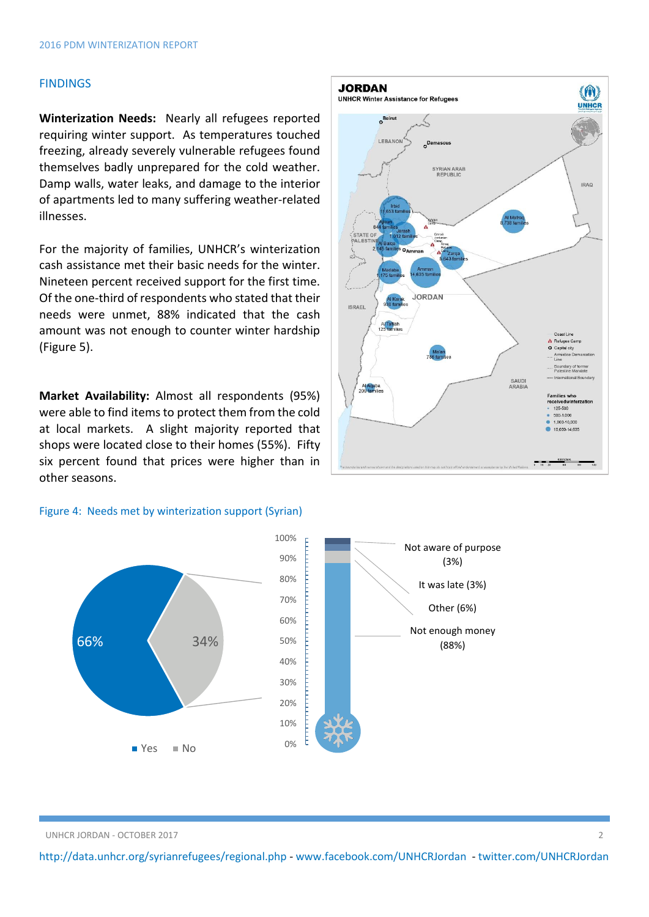### FINDINGS

**Winterization Needs:** Nearly all refugees reported requiring winter support. As temperatures touched freezing, already severely vulnerable refugees found themselves badly unprepared for the cold weather. Damp walls, water leaks, and damage to the interior of apartments led to many suffering weather-related illnesses.

For the majority of families, UNHCR's winterization cash assistance met their basic needs for the winter. Nineteen percent received support for the first time. Of the one-third of respondents who stated that their needs were unmet, 88% indicated that the cash amount was not enough to counter winter hardship (Figure 5).

**Market Availability:** Almost all respondents (95%) were able to find items to protect them from the cold at local markets. A slight majority reported that shops were located close to their homes (55%). Fifty six percent found that prices were higher than in other seasons.

#### Figure 4: Needs met by winterization support (Syrian)





<http://data.unhcr.org/syrianrefugees/regional.php> - [www.facebook.com/UNHCRJordan](http://www.facebook.com/UNHCRJordan) - twitter.com/UNHCRJordan

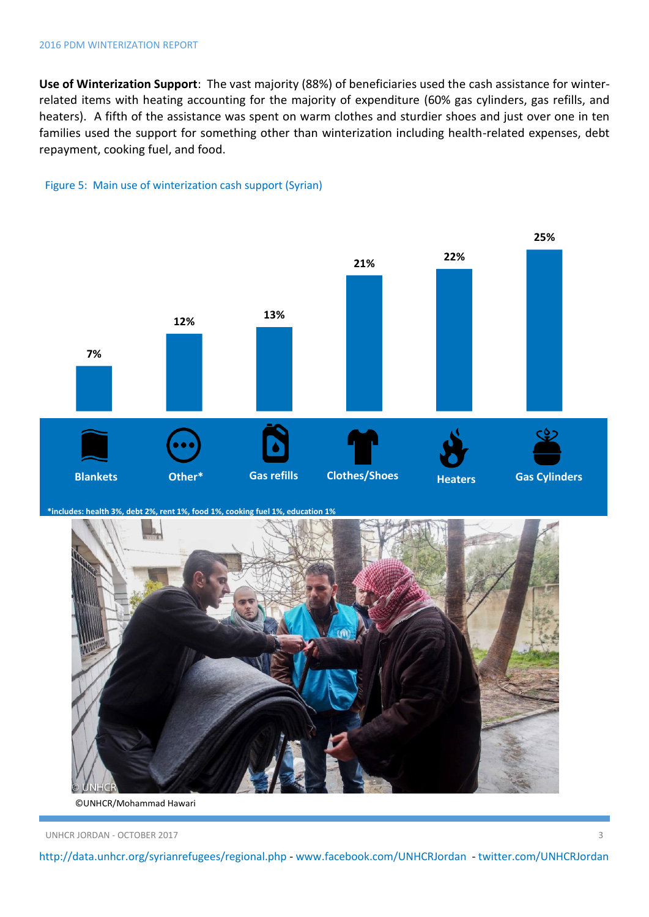**Use of Winterization Support**: The vast majority (88%) of beneficiaries used the cash assistance for winterrelated items with heating accounting for the majority of expenditure (60% gas cylinders, gas refills, and heaters). A fifth of the assistance was spent on warm clothes and sturdier shoes and just over one in ten families used the support for something other than winterization including health-related expenses, debt repayment, cooking fuel, and food.



Figure 5: Main use of winterization cash support (Syrian)

**\*includes: health 3%, debt 2%, rent 1%, food 1%, cooking fuel 1%, education 1%**



©UNHCR/Mohammad Hawari

UNHCR JORDAN - OCTOBER 2017 3

<http://data.unhcr.org/syrianrefugees/regional.php> - [www.facebook.com/UNHCRJordan](http://www.facebook.com/UNHCRJordan) - twitter.com/UNHCRJordan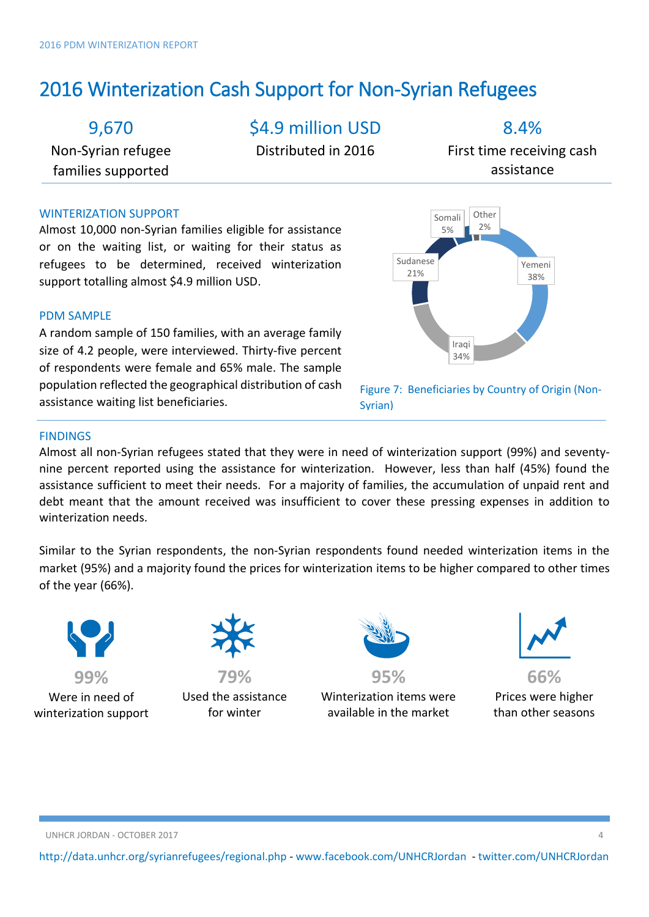## 2016 Winterization Cash Support for Non-Syrian Refugees

## 9,670

Non-Syrian refugee families supported

\$4.9 million USD

Distributed in 2016

8.4%

First time receiving cash assistance

### WINTERIZATION SUPPORT

Almost 10,000 non-Syrian families eligible for assistance or on the waiting list, or waiting for their status as refugees to be determined, received winterization support totalling almost \$4.9 million USD.

### PDM SAMPLE

A random sample of 150 families, with an average family size of 4.2 people, were interviewed. Thirty-five percent of respondents were female and 65% male. The sample population reflected the geographical distribution of cash assistance waiting list beneficiaries.



Figure 7: Beneficiaries by Country of Origin (Non-Syrian)

### **FINDINGS**

Almost all non-Syrian refugees stated that they were in need of winterization support (99%) and seventynine percent reported using the assistance for winterization. However, less than half (45%) found the assistance sufficient to meet their needs. For a majority of families, the accumulation of unpaid rent and debt meant that the amount received was insufficient to cover these pressing expenses in addition to winterization needs.

Similar to the Syrian respondents, the non-Syrian respondents found needed winterization items in the market (95%) and a majority found the prices for winterization items to be higher compared to other times of the year (66%).



**99%**  Were in need of winterization support



**79%**  Used the assistance for winter



**95%**  Winterization items were available in the market



**66%** Prices were higher than other seasons

UNHCR JORDAN - OCTOBER 2017 4